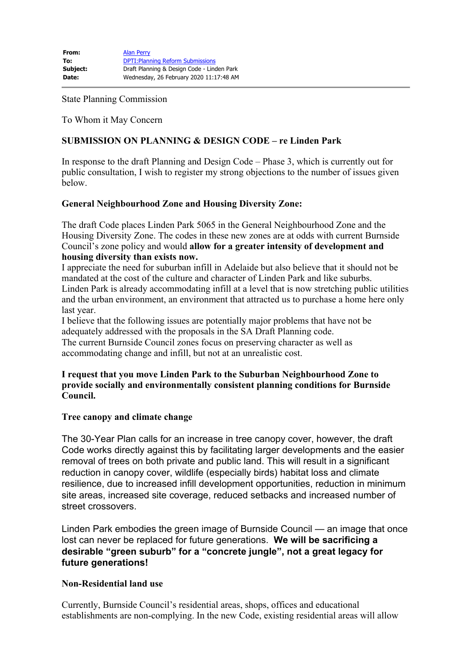State Planning Commission

To Whom it May Concern

# **SUBMISSION ON PLANNING & DESIGN CODE – re Linden Park**

In response to the draft Planning and Design Code – Phase 3, which is currently out for public consultation, I wish to register my strong objections to the number of issues given below.

# **General Neighbourhood Zone and Housing Diversity Zone:**

The draft Code places Linden Park 5065 in the General Neighbourhood Zone and the Housing Diversity Zone. The codes in these new zones are at odds with current Burnside Council's zone policy and would **allow for a greater intensity of development and housing diversity than exists now.**

I appreciate the need for suburban infill in Adelaide but also believe that it should not be mandated at the cost of the culture and character of Linden Park and like suburbs. Linden Park is already accommodating infill at a level that is now stretching public utilities and the urban environment, an environment that attracted us to purchase a home here only last year.

I believe that the following issues are potentially major problems that have not be adequately addressed with the proposals in the SA Draft Planning code. The current Burnside Council zones focus on preserving character as well as accommodating change and infill, but not at an unrealistic cost.

### **I request that you move Linden Park to the Suburban Neighbourhood Zone to provide socially and environmentally consistent planning conditions for Burnside Council.**

#### **Tree canopy and climate change**

The 30-Year Plan calls for an increase in tree canopy cover, however, the draft Code works directly against this by facilitating larger developments and the easier removal of trees on both private and public land. This will result in a significant reduction in canopy cover, wildlife (especially birds) habitat loss and climate resilience, due to increased infill development opportunities, reduction in minimum site areas, increased site coverage, reduced setbacks and increased number of street crossovers.

Linden Park embodies the green image of Burnside Council — an image that once lost can never be replaced for future generations. **We will be sacrificing a desirable "green suburb" for a "concrete jungle", not a great legacy for future generations!**

#### **Non-Residential land use**

Currently, Burnside Council's residential areas, shops, offices and educational establishments are non-complying. In the new Code, existing residential areas will allow